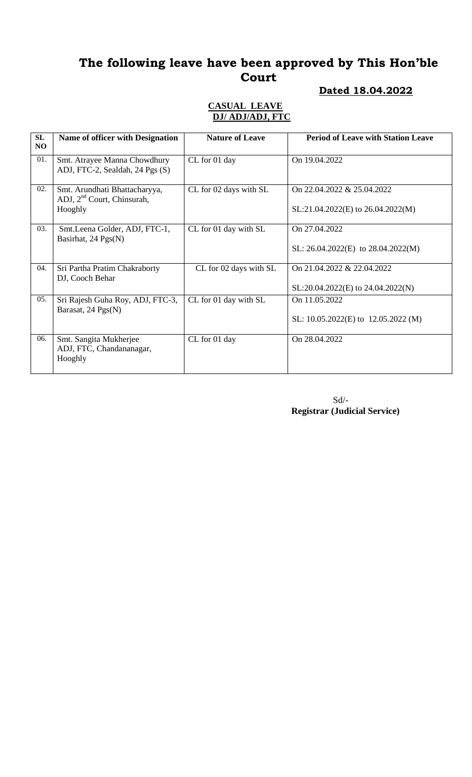#### **Dated 18.04.2022**

#### **CASUAL LEAVE DJ/ ADJ/ADJ, FTC**

| SL<br>NO | <b>Name of officer with Designation</b>                                  | <b>Nature of Leave</b> | <b>Period of Leave with Station Leave</b>                           |
|----------|--------------------------------------------------------------------------|------------------------|---------------------------------------------------------------------|
| 01.      | Smt. Atrayee Manna Chowdhury<br>ADJ, FTC-2, Sealdah, 24 Pgs (S)          | CL for 01 day          | On 19.04.2022                                                       |
| 02.      | Smt. Arundhati Bhattacharyya,<br>ADJ, $2nd$ Court, Chinsurah,<br>Hooghly | CL for 02 days with SL | On 22.04.2022 & 25.04.2022<br>SL:21.04.2022(E) to 26.04.2022(M)     |
| 03.      | Smt.Leena Golder, ADJ, FTC-1,<br>Basirhat, 24 Pgs(N)                     | CL for 01 day with SL  | On 27.04.2022<br>SL: $26.04.2022(E)$ to $28.04.2022(M)$             |
| 04.      | Sri Partha Pratim Chakraborty<br>DJ, Cooch Behar                         | CL for 02 days with SL | On 21.04.2022 & 22.04.2022<br>$SL:20.04.2022(E)$ to $24.04.2022(N)$ |
| 05.      | Sri Rajesh Guha Roy, ADJ, FTC-3,<br>Barasat, 24 Pgs(N)                   | CL for 01 day with SL  | On 11.05.2022<br>SL: $10.05.2022(E)$ to $12.05.2022(M)$             |
| 06.      | Smt. Sangita Mukherjee<br>ADJ, FTC, Chandananagar,<br>Hooghly            | CL for 01 day          | On 28.04.2022                                                       |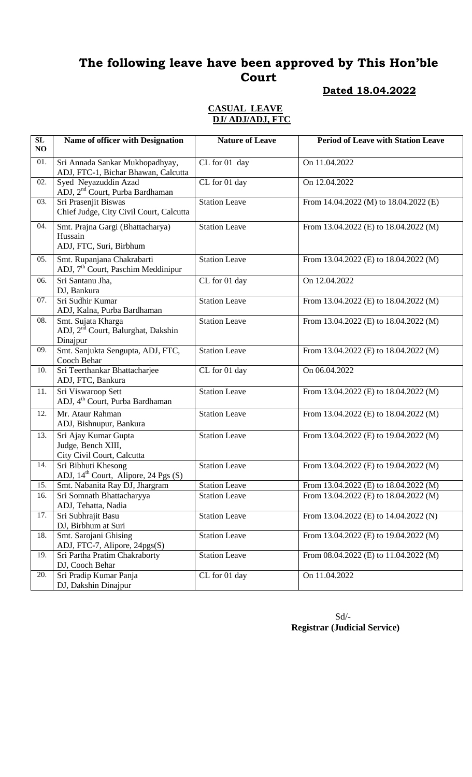#### **Dated 18.04.2022**

#### **CASUAL LEAVE DJ/ ADJ/ADJ, FTC**

| SL<br>NO | Name of officer with Designation                                                 | <b>Nature of Leave</b> | <b>Period of Leave with Station Leave</b> |
|----------|----------------------------------------------------------------------------------|------------------------|-------------------------------------------|
| 01.      | Sri Annada Sankar Mukhopadhyay,<br>ADJ, FTC-1, Bichar Bhawan, Calcutta           | CL for 01 day          | On 11.04.2022                             |
| 02.      | Syed Neyazuddin Azad<br>ADJ, 2 <sup>nd</sup> Court, Purba Bardhaman              | CL for 01 day          | On 12.04.2022                             |
| 03.      | Sri Prasenjit Biswas<br>Chief Judge, City Civil Court, Calcutta                  | <b>Station Leave</b>   | From 14.04.2022 (M) to 18.04.2022 (E)     |
| 04.      | Smt. Prajna Gargi (Bhattacharya)<br>Hussain<br>ADJ, FTC, Suri, Birbhum           | <b>Station Leave</b>   | From 13.04.2022 (E) to 18.04.2022 (M)     |
| 05.      | Smt. Rupanjana Chakrabarti<br>ADJ, 7 <sup>th</sup> Court, Paschim Meddinipur     | <b>Station Leave</b>   | From 13.04.2022 (E) to 18.04.2022 (M)     |
| 06.      | Sri Santanu Jha,<br>DJ, Bankura                                                  | CL for 01 day          | On 12.04.2022                             |
| 07.      | Sri Sudhir Kumar<br>ADJ, Kalna, Purba Bardhaman                                  | <b>Station Leave</b>   | From 13.04.2022 (E) to 18.04.2022 (M)     |
| 08.      | Smt. Sujata Kharga<br>ADJ, 2 <sup>nd</sup> Court, Balurghat, Dakshin<br>Dinajpur | <b>Station Leave</b>   | From 13.04.2022 (E) to 18.04.2022 (M)     |
| 09.      | Smt. Sanjukta Sengupta, ADJ, FTC,<br>Cooch Behar                                 | <b>Station Leave</b>   | From 13.04.2022 (E) to 18.04.2022 (M)     |
| 10.      | Sri Teerthankar Bhattacharjee<br>ADJ, FTC, Bankura                               | CL for 01 day          | On 06.04.2022                             |
| 11.      | Sri Viswaroop Sett<br>ADJ, 4 <sup>th</sup> Court, Purba Bardhaman                | <b>Station Leave</b>   | From 13.04.2022 (E) to 18.04.2022 (M)     |
| 12.      | Mr. Ataur Rahman<br>ADJ, Bishnupur, Bankura                                      | <b>Station Leave</b>   | From 13.04.2022 (E) to 18.04.2022 (M)     |
| 13.      | Sri Ajay Kumar Gupta<br>Judge, Bench XIII,<br>City Civil Court, Calcutta         | <b>Station Leave</b>   | From 13.04.2022 (E) to 19.04.2022 (M)     |
| 14.      | Sri Bibhuti Khesong<br>ADJ, 14 <sup>th</sup> Court, Alipore, 24 Pgs (S)          | <b>Station Leave</b>   | From 13.04.2022 (E) to 19.04.2022 (M)     |
| 15.      | Smt. Nabanita Ray DJ, Jhargram                                                   | <b>Station Leave</b>   | From 13.04.2022 (E) to 18.04.2022 (M)     |
| 16.      | Sri Somnath Bhattacharyya<br>ADJ, Tehatta, Nadia                                 | <b>Station Leave</b>   | From 13.04.2022 (E) to 18.04.2022 (M)     |
| 17.      | Sri Subhrajit Basu<br>DJ, Birbhum at Suri                                        | <b>Station Leave</b>   | From 13.04.2022 (E) to 14.04.2022 (N)     |
| 18.      | Smt. Sarojani Ghising<br>ADJ, FTC-7, Alipore, 24pgs(S)                           | <b>Station Leave</b>   | From 13.04.2022 (E) to 19.04.2022 (M)     |
| 19.      | Sri Partha Pratim Chakraborty<br>DJ, Cooch Behar                                 | <b>Station Leave</b>   | From 08.04.2022 (E) to 11.04.2022 (M)     |
| 20.      | Sri Pradip Kumar Panja<br>DJ, Dakshin Dinajpur                                   | CL for 01 day          | On 11.04.2022                             |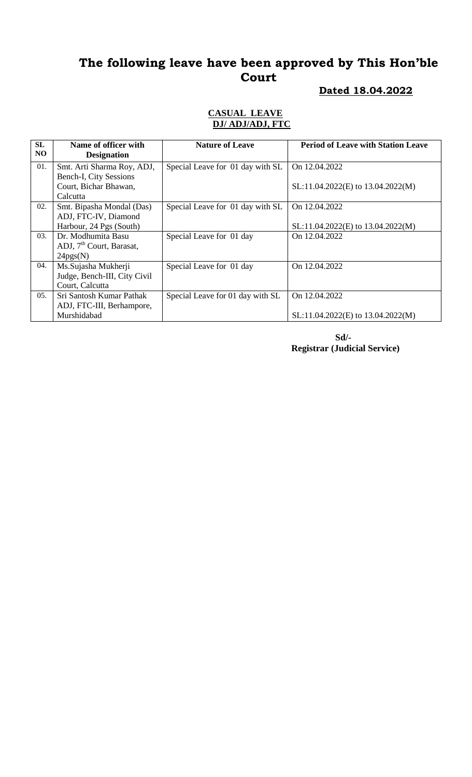# **Dated 18.04.2022**

#### **CASUAL LEAVE DJ/ ADJ/ADJ, FTC**

| SL<br>N <sub>O</sub> | Name of officer with<br><b>Designation</b> | <b>Nature of Leave</b>           | <b>Period of Leave with Station Leave</b> |
|----------------------|--------------------------------------------|----------------------------------|-------------------------------------------|
| 01.                  | Smt. Arti Sharma Roy, ADJ,                 | Special Leave for 01 day with SL | On 12.04.2022                             |
|                      | Bench-I, City Sessions                     |                                  |                                           |
|                      | Court, Bichar Bhawan,                      |                                  | SL:11.04.2022(E) to 13.04.2022(M)         |
|                      | Calcutta                                   |                                  |                                           |
| 02.                  | Smt. Bipasha Mondal (Das)                  | Special Leave for 01 day with SL | On 12.04.2022                             |
|                      | ADJ, FTC-IV, Diamond                       |                                  |                                           |
|                      | Harbour, 24 Pgs (South)                    |                                  | SL:11.04.2022(E) to 13.04.2022(M)         |
| 03.                  | Dr. Modhumita Basu                         | Special Leave for 01 day         | On 12.04.2022                             |
|                      | ADJ, 7 <sup>th</sup> Court, Barasat,       |                                  |                                           |
|                      | 24pgs(N)                                   |                                  |                                           |
| 04.                  | Ms.Sujasha Mukherji                        | Special Leave for 01 day         | On 12.04.2022                             |
|                      | Judge, Bench-III, City Civil               |                                  |                                           |
|                      | Court, Calcutta                            |                                  |                                           |
| 05.                  | Sri Santosh Kumar Pathak                   | Special Leave for 01 day with SL | On 12.04.2022                             |
|                      | ADJ, FTC-III, Berhampore,                  |                                  |                                           |
|                      | Murshidabad                                |                                  | $SL:11.04.2022(E)$ to 13.04.2022(M)       |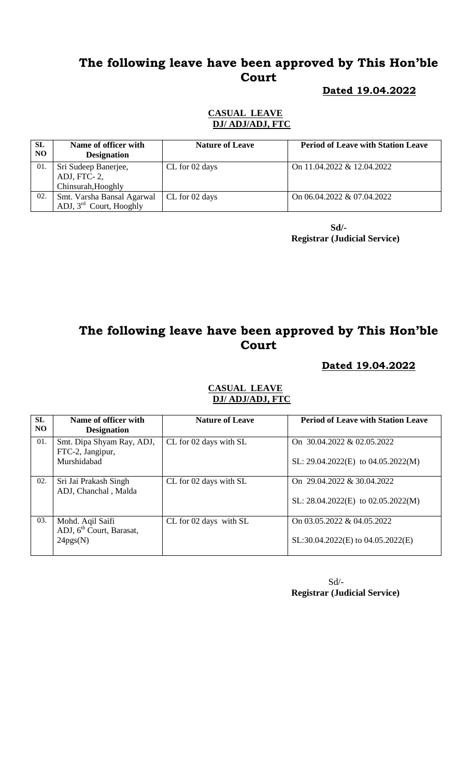#### **Dated 19.04.2022**

#### **CASUAL LEAVE DJ/ ADJ/ADJ, FTC**

| <b>SL</b><br>NO. | Name of officer with<br><b>Designation</b>                | <b>Nature of Leave</b> | <b>Period of Leave with Station Leave</b> |
|------------------|-----------------------------------------------------------|------------------------|-------------------------------------------|
| 01.              | Sri Sudeep Banerjee,<br>ADJ, FTC-2,<br>Chinsurah, Hooghly | CL for 02 days         | On 11.04.2022 & 12.04.2022                |
| 02.              | Smt. Varsha Bansal Agarwal<br>ADJ, 3rd Court, Hooghly     | CL for 02 days         | On 06.04.2022 & 07.04.2022                |

 **Sd/- Registrar (Judicial Service)**

# **The following leave have been approved by This Hon'ble Court**

#### **Dated 19.04.2022**

| <b>SL</b><br>NO <sub>1</sub> | Name of officer with<br><b>Designation</b>                           | <b>Nature of Leave</b> | <b>Period of Leave with Station Leave</b>                            |
|------------------------------|----------------------------------------------------------------------|------------------------|----------------------------------------------------------------------|
| 01.                          | Smt. Dipa Shyam Ray, ADJ,<br>FTC-2, Jangipur,<br>Murshidabad         | CL for 02 days with SL | On 30.04.2022 & 02.05.2022<br>SL: $29.04.2022(E)$ to $04.05.2022(M)$ |
| 02.                          | Sri Jai Prakash Singh<br>ADJ, Chanchal, Malda                        | CL for 02 days with SL | On 29.04.2022 & 30.04.2022<br>SL: $28.04.2022(E)$ to $02.05.2022(M)$ |
| 03.                          | Mohd. Aqil Saifi<br>ADJ, 6 <sup>th</sup> Court, Barasat,<br>24pgs(N) | CL for 02 days with SL | On 03.05.2022 & 04.05.2022<br>$SL:30.04.2022(E)$ to $04.05.2022(E)$  |

#### **CASUAL LEAVE DJ/ ADJ/ADJ, FTC**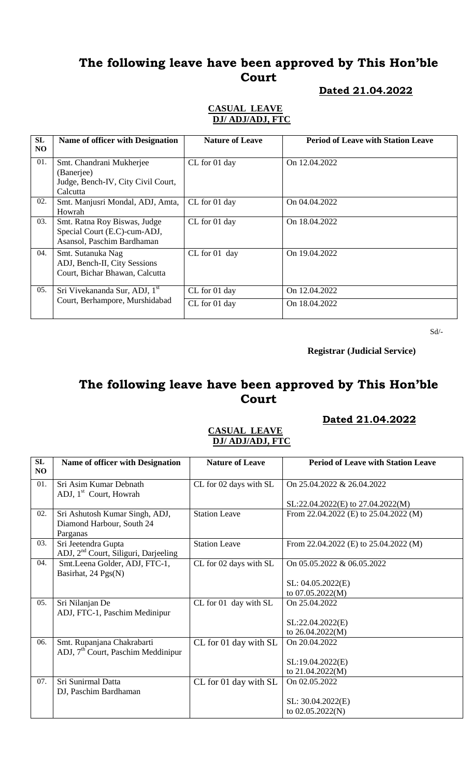#### **Dated 21.04.2022**

#### **CASUAL LEAVE DJ/ ADJ/ADJ, FTC**

| SL<br>N <sub>O</sub> | <b>Name of officer with Designation</b>                                                    | <b>Nature of Leave</b>         | <b>Period of Leave with Station Leave</b> |
|----------------------|--------------------------------------------------------------------------------------------|--------------------------------|-------------------------------------------|
| 01.                  | Smt. Chandrani Mukherjee<br>(Banerjee)<br>Judge, Bench-IV, City Civil Court,<br>Calcutta   | CL for 01 day                  | On 12.04.2022                             |
| 02.                  | Smt. Manjusri Mondal, ADJ, Amta,<br>Howrah                                                 | CL for 01 day                  | On 04.04.2022                             |
| 03.                  | Smt. Ratna Roy Biswas, Judge<br>Special Court (E.C)-cum-ADJ,<br>Asansol, Paschim Bardhaman | CL for 01 day                  | On 18.04.2022                             |
| 04.                  | Smt. Sutanuka Nag<br>ADJ, Bench-II, City Sessions<br>Court, Bichar Bhawan, Calcutta        | CL for 01 day                  | On 19.04.2022                             |
| 05.                  | Sri Vivekananda Sur, ADJ, 1 <sup>st</sup><br>Court, Berhampore, Murshidabad                | CL for 01 day<br>CL for 01 day | On 12.04.2022<br>On 18.04.2022            |

Sd/-

 **Registrar (Judicial Service)**

## **The following leave have been approved by This Hon'ble Court**

#### **Dated 21.04.2022**

#### **CASUAL LEAVE DJ/ ADJ/ADJ, FTC**

| SL<br>N <sub>O</sub> | <b>Name of officer with Designation</b>          | <b>Nature of Leave</b> | <b>Period of Leave with Station Leave</b> |
|----------------------|--------------------------------------------------|------------------------|-------------------------------------------|
| 01.                  | Sri Asim Kumar Debnath                           | CL for 02 days with SL | On 25.04.2022 & 26.04.2022                |
|                      | ADJ, 1 <sup>st</sup> Court, Howrah               |                        |                                           |
|                      |                                                  |                        | $SL:22.04.2022(E)$ to 27.04.2022(M)       |
| 02.                  | Sri Ashutosh Kumar Singh, ADJ,                   | <b>Station Leave</b>   | From 22.04.2022 (E) to 25.04.2022 (M)     |
|                      | Diamond Harbour, South 24                        |                        |                                           |
|                      | Parganas                                         |                        |                                           |
| 03.                  | Sri Jeetendra Gupta                              | <b>Station Leave</b>   | From 22.04.2022 (E) to 25.04.2022 (M)     |
|                      | ADJ, 2 <sup>nd</sup> Court, Siliguri, Darjeeling |                        |                                           |
| 04.                  | Smt.Leena Golder, ADJ, FTC-1,                    | CL for 02 days with SL | On 05.05.2022 & 06.05.2022                |
|                      | Basirhat, 24 Pgs(N)                              |                        |                                           |
|                      |                                                  |                        | SL: 04.05.2022(E)                         |
|                      |                                                  |                        | to 07.05.2022(M)                          |
| 05.                  | Sri Nilanjan De                                  | CL for 01 day with SL  | On 25.04.2022                             |
|                      | ADJ, FTC-1, Paschim Medinipur                    |                        |                                           |
|                      |                                                  |                        | SL:22.04.2022(E)                          |
|                      |                                                  |                        | to 26.04.2022(M)                          |
| 06.                  | Smt. Rupanjana Chakrabarti                       | CL for 01 day with SL  | On 20.04.2022                             |
|                      | ADJ, 7 <sup>th</sup> Court, Paschim Meddinipur   |                        |                                           |
|                      |                                                  |                        | SL:19.04.2022(E)                          |
|                      |                                                  |                        | to 21.04.2022(M)                          |
| 07.                  | Sri Sunirmal Datta                               | CL for 01 day with SL  | On 02.05.2022                             |
|                      | DJ, Paschim Bardhaman                            |                        |                                           |
|                      |                                                  |                        | SL: 30.04.2022(E)                         |
|                      |                                                  |                        | to 02.05.2022(N)                          |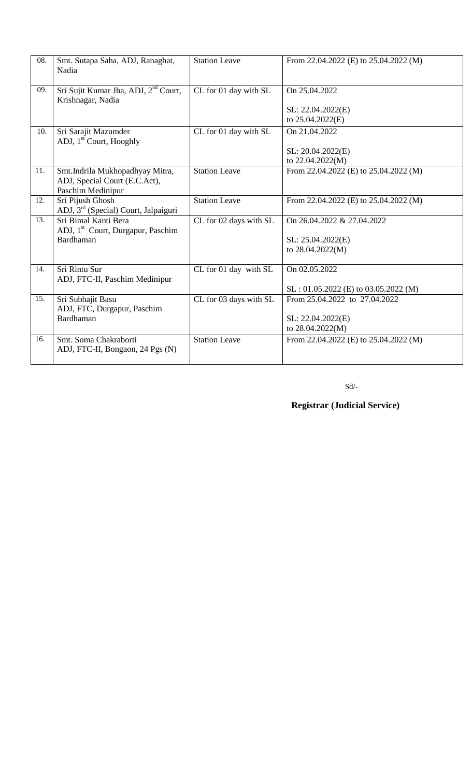| 08. | Smt. Sutapa Saha, ADJ, Ranaghat,<br>Nadia                                                 | <b>Station Leave</b>   | From 22.04.2022 (E) to 25.04.2022 (M)                                  |
|-----|-------------------------------------------------------------------------------------------|------------------------|------------------------------------------------------------------------|
| 09. | Sri Sujit Kumar Jha, ADJ, 2 <sup>nd</sup> Court,<br>Krishnagar, Nadia                     | CL for 01 day with SL  | On 25.04.2022<br>SL: 22.04.2022(E)<br>to 25.04.2022(E)                 |
| 10. | Sri Sarajit Mazumder<br>ADJ, 1 <sup>st</sup> Court, Hooghly                               | CL for 01 day with SL  | On 21.04.2022<br>SL: 20.04.2022(E)<br>to 22.04.2022(M)                 |
| 11. | Smt.Indrila Mukhopadhyay Mitra,<br>ADJ, Special Court (E.C.Act),<br>Paschim Medinipur     | <b>Station Leave</b>   | From 22.04.2022 (E) to 25.04.2022 (M)                                  |
| 12. | Sri Pijush Ghosh<br>ADJ, 3 <sup>rd</sup> (Special) Court, Jalpaiguri                      | <b>Station Leave</b>   | From 22.04.2022 (E) to 25.04.2022 (M)                                  |
| 13. | Sri Bimal Kanti Bera<br>ADJ, 1 <sup>st</sup> Court, Durgapur, Paschim<br><b>Bardhaman</b> | CL for 02 days with SL | On 26.04.2022 & 27.04.2022<br>SL: 25.04.2022(E)<br>to 28.04.2022(M)    |
| 14. | Sri Rintu Sur<br>ADJ, FTC-II, Paschim Medinipur                                           | CL for 01 day with SL  | On 02.05.2022<br>$SL: 01.05.2022$ (E) to 03.05.2022 (M)                |
| 15. | Sri Subhajit Basu<br>ADJ, FTC, Durgapur, Paschim<br>Bardhaman                             | CL for 03 days with SL | From 25.04.2022 to 27.04.2022<br>SL: 22.04.2022(E)<br>to 28.04.2022(M) |
| 16. | Smt. Soma Chakraborti<br>ADJ, FTC-II, Bongaon, 24 Pgs (N)                                 | <b>Station Leave</b>   | From 22.04.2022 (E) to 25.04.2022 (M)                                  |

Sd/-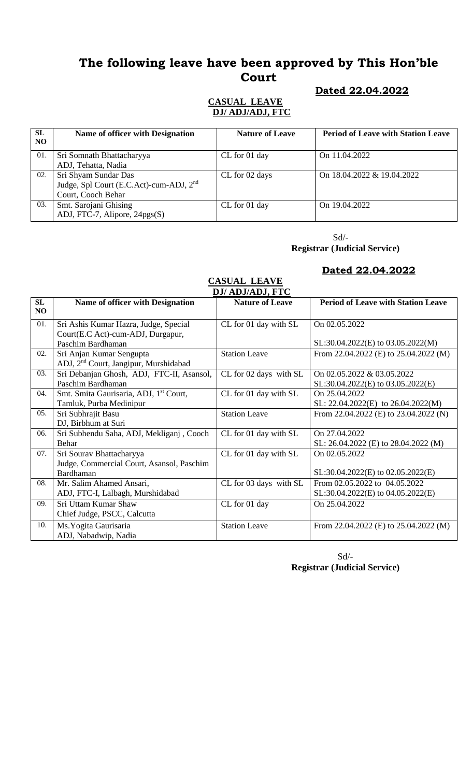#### **Dated 22.04.2022**

#### **CASUAL LEAVE DJ/ ADJ/ADJ, FTC**

| <b>SL</b><br>N <sub>O</sub> | Name of officer with Designation                                                                  | <b>Nature of Leave</b> | <b>Period of Leave with Station Leave</b> |
|-----------------------------|---------------------------------------------------------------------------------------------------|------------------------|-------------------------------------------|
| 01.                         | Sri Somnath Bhattacharyya<br>ADJ, Tehatta, Nadia                                                  | CL for 01 day          | On 11.04.2022                             |
| 02.                         | Sri Shyam Sundar Das<br>Judge, Spl Court (E.C.Act)-cum-ADJ, 2 <sup>nd</sup><br>Court, Cooch Behar | CL for 02 days         | On 18.04.2022 & 19.04.2022                |
| 03.                         | Smt. Sarojani Ghising<br>ADJ, FTC-7, Alipore, 24pgs(S)                                            | CL for 01 day          | On 19.04.2022                             |

 $\mbox{Sd}/\mbox{-}$ 

**Registrar (Judicial Service)**

#### **Dated 22.04.2022**

#### **CASUAL LEAVE DJ/ ADJ/ADJ, FTC**

|          | <i>DJI ADJIADJ</i> , FIU                           |                        |                                           |  |  |
|----------|----------------------------------------------------|------------------------|-------------------------------------------|--|--|
| SL<br>NO | <b>Name of officer with Designation</b>            | <b>Nature of Leave</b> | <b>Period of Leave with Station Leave</b> |  |  |
|          |                                                    |                        |                                           |  |  |
| 01.      | Sri Ashis Kumar Hazra, Judge, Special              | CL for 01 day with SL  | On 02.05.2022                             |  |  |
|          | Court(E.C Act)-cum-ADJ, Durgapur,                  |                        |                                           |  |  |
|          | Paschim Bardhaman                                  |                        | $SL:30.04.2022(E)$ to $03.05.2022(M)$     |  |  |
| 02.      | Sri Anjan Kumar Sengupta                           | <b>Station Leave</b>   | From 22.04.2022 (E) to 25.04.2022 (M)     |  |  |
|          | ADJ, 2 <sup>nd</sup> Court, Jangipur, Murshidabad  |                        |                                           |  |  |
| 03.      | Sri Debanjan Ghosh, ADJ, FTC-II, Asansol,          | CL for 02 days with SL | On 02.05.2022 & 03.05.2022                |  |  |
|          | Paschim Bardhaman                                  |                        | $SL:30.04.2022(E)$ to $03.05.2022(E)$     |  |  |
| 04.      | Smt. Smita Gaurisaria, ADJ, 1 <sup>st</sup> Court, | CL for 01 day with SL  | On 25.04.2022                             |  |  |
|          | Tamluk, Purba Medinipur                            |                        | SL: $22.04.2022(E)$ to $26.04.2022(M)$    |  |  |
| 05.      | Sri Subhrajit Basu                                 | <b>Station Leave</b>   | From 22.04.2022 (E) to 23.04.2022 (N)     |  |  |
|          | DJ, Birbhum at Suri                                |                        |                                           |  |  |
| 06.      | Sri Subhendu Saha, ADJ, Mekliganj, Cooch           | CL for 01 day with SL  | On 27.04.2022                             |  |  |
|          | Behar                                              |                        | SL: 26.04.2022 (E) to 28.04.2022 (M)      |  |  |
| 07.      | Sri Sourav Bhattacharyya                           | CL for 01 day with SL  | On 02.05.2022                             |  |  |
|          | Judge, Commercial Court, Asansol, Paschim          |                        |                                           |  |  |
|          | Bardhaman                                          |                        | $SL:30.04.2022(E)$ to $02.05.2022(E)$     |  |  |
| 08.      | Mr. Salim Ahamed Ansari,                           | CL for 03 days with SL | From 02.05.2022 to 04.05.2022             |  |  |
|          | ADJ, FTC-I, Lalbagh, Murshidabad                   |                        | SL:30.04.2022(E) to 04.05.2022(E)         |  |  |
| 09.      | Sri Uttam Kumar Shaw                               | CL for 01 day          | On 25.04.2022                             |  |  |
|          | Chief Judge, PSCC, Calcutta                        |                        |                                           |  |  |
| 10.      | Ms. Yogita Gaurisaria                              | <b>Station Leave</b>   | From 22.04.2022 (E) to 25.04.2022 (M)     |  |  |
|          | ADJ, Nabadwip, Nadia                               |                        |                                           |  |  |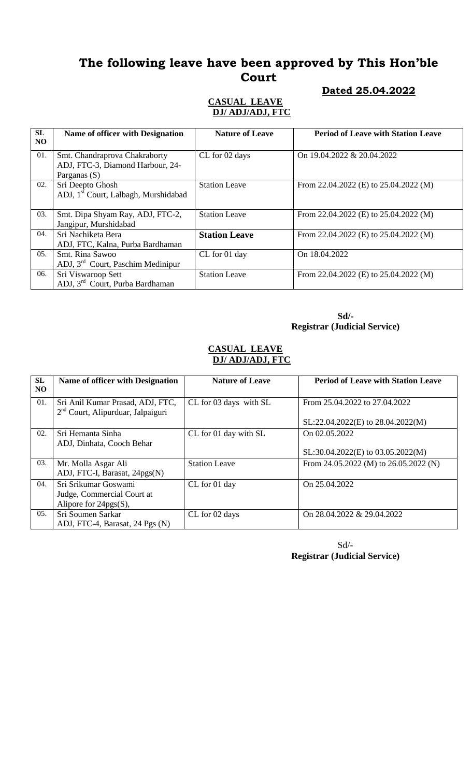#### **Dated 25.04.2022**

#### **CASUAL LEAVE DJ/ ADJ/ADJ, FTC**

| <b>SL</b><br>NO. | Name of officer with Designation                                  | <b>Nature of Leave</b> | <b>Period of Leave with Station Leave</b> |
|------------------|-------------------------------------------------------------------|------------------------|-------------------------------------------|
| 01.              | Smt. Chandraprova Chakraborty<br>ADJ, FTC-3, Diamond Harbour, 24- | CL for 02 days         | On $19.04.2022 \& 20.04.2022$             |
|                  | Parganas (S)                                                      |                        |                                           |
| 02.              | Sri Deepto Ghosh                                                  | <b>Station Leave</b>   | From 22.04.2022 (E) to 25.04.2022 (M)     |
|                  | ADJ, 1 <sup>st</sup> Court, Lalbagh, Murshidabad                  |                        |                                           |
|                  |                                                                   |                        |                                           |
| 03.              | Smt. Dipa Shyam Ray, ADJ, FTC-2,                                  | <b>Station Leave</b>   | From 22.04.2022 (E) to $25.04.2022$ (M)   |
|                  | Jangipur, Murshidabad                                             |                        |                                           |
| 04.              | Sri Nachiketa Bera                                                | <b>Station Leave</b>   | From 22.04.2022 (E) to 25.04.2022 (M)     |
|                  | ADJ, FTC, Kalna, Purba Bardhaman                                  |                        |                                           |
| 05.              | Smt. Rina Sawoo                                                   | CL for 01 day          | On 18.04.2022                             |
|                  | ADJ, $3rd$ Court, Paschim Medinipur                               |                        |                                           |
| 06.              | Sri Viswaroop Sett                                                | <b>Station Leave</b>   | From 22.04.2022 (E) to 25.04.2022 (M)     |
|                  | ADJ, 3 <sup>rd</sup> Court, Purba Bardhaman                       |                        |                                           |

 **Sd/- Registrar (Judicial Service)**

#### **CASUAL LEAVE DJ/ ADJ/ADJ, FTC**

| SL  | Name of officer with Designation    | <b>Nature of Leave</b> | <b>Period of Leave with Station Leave</b> |
|-----|-------------------------------------|------------------------|-------------------------------------------|
| NO. |                                     |                        |                                           |
| 01. | Sri Anil Kumar Prasad, ADJ, FTC,    | CL for 03 days with SL | From 25.04.2022 to 27.04.2022             |
|     | $2nd$ Court, Alipurduar, Jalpaiguri |                        |                                           |
|     |                                     |                        | SL:22.04.2022(E) to 28.04.2022(M)         |
| 02. | Sri Hemanta Sinha                   | CL for 01 day with SL  | On 02.05.2022                             |
|     | ADJ, Dinhata, Cooch Behar           |                        |                                           |
|     |                                     |                        | SL:30.04.2022(E) to 03.05.2022(M)         |
| 03. | Mr. Molla Asgar Ali                 | <b>Station Leave</b>   | From 24.05.2022 (M) to 26.05.2022 (N)     |
|     | ADJ, FTC-I, Barasat, 24pgs(N)       |                        |                                           |
| 04. | Sri Srikumar Goswami                | CL for 01 day          | On 25.04.2022                             |
|     | Judge, Commercial Court at          |                        |                                           |
|     | Alipore for $24pgs(S)$ ,            |                        |                                           |
| 05. | Sri Soumen Sarkar                   | CL for 02 days         | On 28.04.2022 & 29.04.2022                |
|     | ADJ, FTC-4, Barasat, 24 Pgs (N)     |                        |                                           |

Sd/-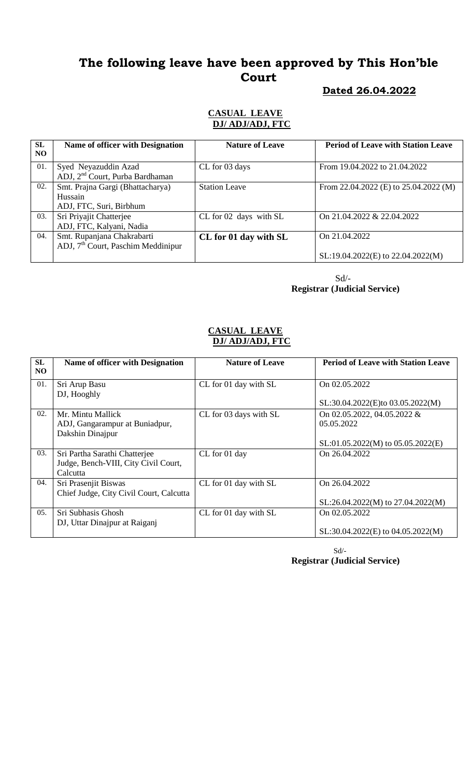#### **Dated 26.04.2022**

#### **CASUAL LEAVE DJ/ ADJ/ADJ, FTC**

| <b>SL</b><br>N <sub>O</sub> | Name of officer with Designation                                    | <b>Nature of Leave</b> | <b>Period of Leave with Station Leave</b> |
|-----------------------------|---------------------------------------------------------------------|------------------------|-------------------------------------------|
| 01.                         | Syed Neyazuddin Azad<br>ADJ, 2 <sup>nd</sup> Court, Purba Bardhaman | CL for 03 days         | From 19.04.2022 to 21.04.2022             |
| 02.                         | Smt. Prajna Gargi (Bhattacharya)<br>Hussain                         | <b>Station Leave</b>   | From 22.04.2022 (E) to 25.04.2022 (M)     |
|                             | ADJ, FTC, Suri, Birbhum                                             |                        |                                           |
| 03.                         | Sri Priyajit Chatterjee                                             | CL for 02 days with SL | On 21.04.2022 & 22.04.2022                |
|                             | ADJ, FTC, Kalyani, Nadia                                            |                        |                                           |
| 04.                         | Smt. Rupanjana Chakrabarti                                          | CL for 01 day with SL  | On 21.04.2022                             |
|                             | ADJ, $7th$ Court, Paschim Meddinipur                                |                        |                                           |
|                             |                                                                     |                        | SL:19.04.2022(E) to 22.04.2022(M)         |

 Sd/- **Registrar (Judicial Service)**

#### **CASUAL LEAVE DJ/ ADJ/ADJ, FTC**

| SL<br>NO.        | <b>Name of officer with Designation</b> | <b>Nature of Leave</b> | <b>Period of Leave with Station Leave</b> |
|------------------|-----------------------------------------|------------------------|-------------------------------------------|
| 01.              | Sri Arup Basu                           | CL for 01 day with SL  | On 02.05.2022                             |
|                  | DJ, Hooghly                             |                        | SL:30.04.2022(E)to 03.05.2022(M)          |
| 02.              | Mr. Mintu Mallick                       | CL for 03 days with SL | On 02.05.2022, 04.05.2022 &               |
|                  | ADJ, Gangarampur at Buniadpur,          |                        | 05.05.2022                                |
|                  | Dakshin Dinajpur                        |                        |                                           |
|                  |                                         |                        | $SL:01.05.2022(M)$ to $05.05.2022(E)$     |
| 03.              | Sri Partha Sarathi Chatterjee           | CL for 01 day          | On 26.04.2022                             |
|                  | Judge, Bench-VIII, City Civil Court,    |                        |                                           |
|                  | Calcutta                                |                        |                                           |
| 04.              | Sri Prasenjit Biswas                    | CL for 01 day with SL  | On 26.04.2022                             |
|                  | Chief Judge, City Civil Court, Calcutta |                        |                                           |
|                  |                                         |                        | SL:26.04.2022(M) to 27.04.2022(M)         |
| 0.5 <sub>1</sub> | Sri Subhasis Ghosh                      | CL for 01 day with SL  | On 02.05.2022                             |
|                  | DJ, Uttar Dinajpur at Raiganj           |                        |                                           |
|                  |                                         |                        | $SL:30.04.2022(E)$ to $04.05.2022(M)$     |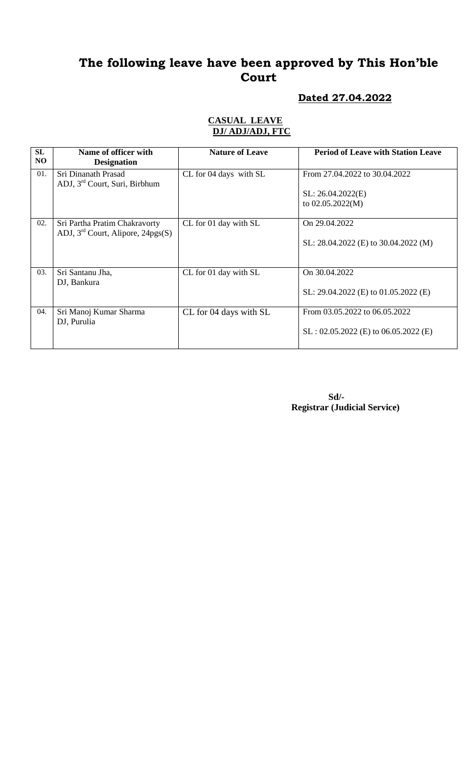### **Dated 27.04.2022**

#### **CASUAL LEAVE DJ/ ADJ/ADJ, FTC**

| <b>SL</b><br>NO. | Name of officer with<br><b>Designation</b>                           | <b>Nature of Leave</b> | <b>Period of Leave with Station Leave</b>                                |
|------------------|----------------------------------------------------------------------|------------------------|--------------------------------------------------------------------------|
| 01.              | Sri Dinanath Prasad<br>ADJ, 3 <sup>rd</sup> Court, Suri, Birbhum     | CL for 04 days with SL | From 27.04.2022 to 30.04.2022<br>SL: 26.04.2022(E)<br>to $02.05.2022(M)$ |
| 02.              | Sri Partha Pratim Chakravorty<br>ADJ, $3rd$ Court, Alipore, 24pgs(S) | CL for 01 day with SL  | On 29.04.2022<br>SL: 28.04.2022 (E) to 30.04.2022 (M)                    |
| 03.              | Sri Santanu Jha,<br>DJ, Bankura                                      | CL for 01 day with SL  | On 30.04.2022<br>SL: $29.04.2022$ (E) to $01.05.2022$ (E)                |
| 04.              | Sri Manoj Kumar Sharma<br>DJ, Purulia                                | CL for 04 days with SL | From 03.05.2022 to 06.05.2022<br>$SL: 02.05.2022$ (E) to 06.05.2022 (E)  |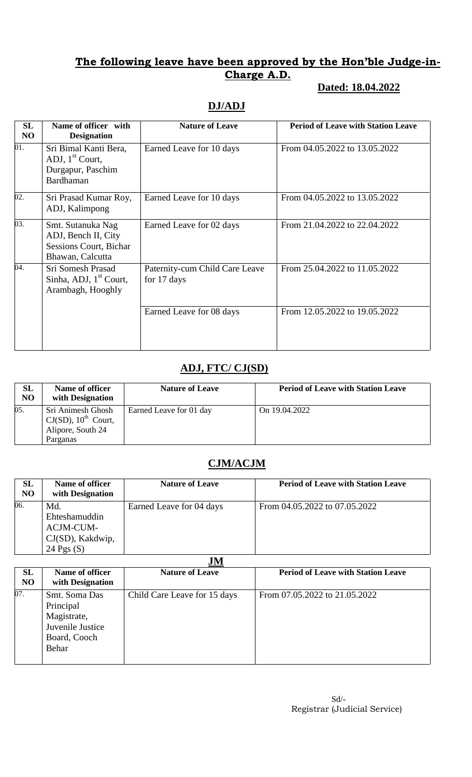### **Dated: 18.04.2022**

## **DJ/ADJ**

| <b>SL</b><br>N <sub>O</sub> | Name of officer with<br><b>Designation</b>                                                    | <b>Nature of Leave</b>                        | <b>Period of Leave with Station Leave</b> |
|-----------------------------|-----------------------------------------------------------------------------------------------|-----------------------------------------------|-------------------------------------------|
| 01.                         | Sri Bimal Kanti Bera,<br>ADJ, $1st$ Court,<br>Durgapur, Paschim<br>Bardhaman                  | Earned Leave for 10 days                      | From 04.05.2022 to 13.05.2022             |
| 02.                         | Sri Prasad Kumar Roy,<br>ADJ, Kalimpong                                                       | Earned Leave for 10 days                      | From 04.05.2022 to 13.05.2022             |
| 03.                         | Smt. Sutanuka Nag<br>ADJ, Bench II, City<br><b>Sessions Court, Bichar</b><br>Bhawan, Calcutta | Earned Leave for 02 days                      | From 21.04.2022 to 22.04.2022             |
| 04.                         | Sri Somesh Prasad<br>Sinha, ADJ, 1 <sup>st</sup> Court,<br>Arambagh, Hooghly                  | Paternity-cum Child Care Leave<br>for 17 days | From 25.04.2022 to 11.05.2022             |
|                             |                                                                                               | Earned Leave for 08 days                      | From 12.05.2022 to 19.05.2022             |

### **ADJ, FTC/ CJ(SD)**

| <b>SL</b><br>N <sub>O</sub> | Name of officer<br>with Designation                                                      | <b>Nature of Leave</b>  | <b>Period of Leave with Station Leave</b> |
|-----------------------------|------------------------------------------------------------------------------------------|-------------------------|-------------------------------------------|
| 05.                         | Sri Animesh Ghosh<br>$CJ(SD)$ , 10 <sup>th</sup> Court,<br>Alipore, South 24<br>Parganas | Earned Leave for 01 day | On 19.04.2022                             |

### **CJM/ACJM**

| SL<br>N <sub>O</sub> | Name of officer<br>with Designation                                   | <b>Nature of Leave</b>   | <b>Period of Leave with Station Leave</b> |
|----------------------|-----------------------------------------------------------------------|--------------------------|-------------------------------------------|
| 06.                  | Md.<br>Ehteshamuddin<br>ACJM-CUM-<br>CJ(SD), Kakdwip,<br>24 Pgs $(S)$ | Earned Leave for 04 days | From 04.05.2022 to 07.05.2022             |

**JM**

|                      | ****                                                                                   |                              |                                           |  |  |
|----------------------|----------------------------------------------------------------------------------------|------------------------------|-------------------------------------------|--|--|
| SL<br>N <sub>O</sub> | Name of officer<br>with Designation                                                    | <b>Nature of Leave</b>       | <b>Period of Leave with Station Leave</b> |  |  |
| 07.                  | Smt. Soma Das<br>Principal<br>Magistrate,<br>Juvenile Justice<br>Board, Cooch<br>Behar | Child Care Leave for 15 days | From 07.05.2022 to 21.05.2022             |  |  |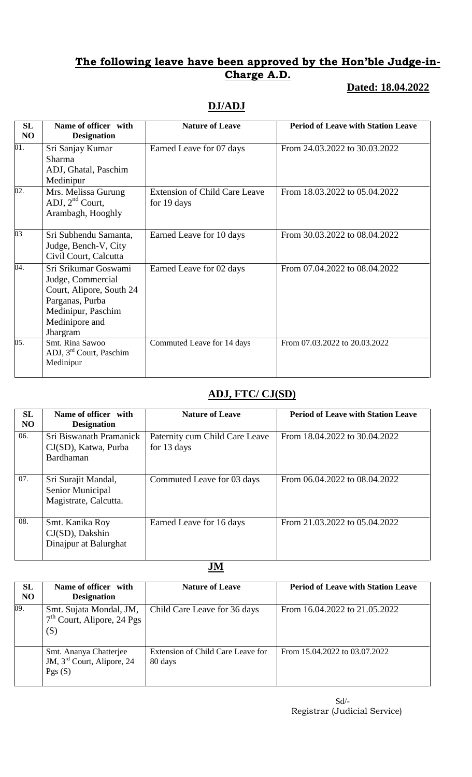# **Dated: 18.04.2022**

## **DJ/ADJ**

| <b>SL</b><br>N <sub>O</sub> | Name of officer with<br><b>Designation</b>                                                                                                   | <b>Nature of Leave</b>                              | <b>Period of Leave with Station Leave</b> |
|-----------------------------|----------------------------------------------------------------------------------------------------------------------------------------------|-----------------------------------------------------|-------------------------------------------|
| 01.                         | Sri Sanjay Kumar<br><b>Sharma</b><br>ADJ, Ghatal, Paschim<br>Medinipur                                                                       | Earned Leave for 07 days                            | From 24.03.2022 to 30.03.2022             |
| 02.                         | Mrs. Melissa Gurung<br>ADJ, $2^{nd}$ Court,<br>Arambagh, Hooghly                                                                             | <b>Extension of Child Care Leave</b><br>for 19 days | From 18.03.2022 to 05.04.2022             |
| 03                          | Sri Subhendu Samanta,<br>Judge, Bench-V, City<br>Civil Court, Calcutta                                                                       | Earned Leave for 10 days                            | From 30.03.2022 to 08.04.2022             |
| 04.                         | Sri Srikumar Goswami<br>Judge, Commercial<br>Court, Alipore, South 24<br>Parganas, Purba<br>Medinipur, Paschim<br>Medinipore and<br>Jhargram | Earned Leave for 02 days                            | From 07.04.2022 to 08.04.2022             |
| 05.                         | Smt. Rina Sawoo<br>ADJ, 3 <sup>rd</sup> Court, Paschim<br>Medinipur                                                                          | Commuted Leave for 14 days                          | From 07.03.2022 to 20.03.2022             |

## **ADJ, FTC/ CJ(SD)**

| <b>SL</b><br>N <sub>O</sub> | Name of officer with<br><b>Designation</b>                       | <b>Nature of Leave</b>                        | <b>Period of Leave with Station Leave</b> |
|-----------------------------|------------------------------------------------------------------|-----------------------------------------------|-------------------------------------------|
| 06.                         | Sri Biswanath Pramanick<br>CJ(SD), Katwa, Purba<br>Bardhaman     | Paternity cum Child Care Leave<br>for 13 days | From 18.04.2022 to 30.04.2022             |
| 07.                         | Sri Surajit Mandal,<br>Senior Municipal<br>Magistrate, Calcutta. | Commuted Leave for 03 days                    | From 06.04.2022 to 08.04.2022             |
| 08.                         | Smt. Kanika Roy<br>$CJ(SD)$ , Dakshin<br>Dinajpur at Balurghat   | Earned Leave for 16 days                      | From 21.03.2022 to 05.04.2022             |

**JM**

| <b>SL</b><br>N <sub>O</sub> | Name of officer with<br><b>Designation</b>                                 | <b>Nature of Leave</b>                       | <b>Period of Leave with Station Leave</b> |
|-----------------------------|----------------------------------------------------------------------------|----------------------------------------------|-------------------------------------------|
| 09.                         | Smt. Sujata Mondal, JM,<br>$7th$ Court, Alipore, 24 Pgs<br>(S)             | Child Care Leave for 36 days                 | From 16.04.2022 to 21.05.2022             |
|                             | Smt. Ananya Chatterjee<br>JM, 3 <sup>rd</sup> Court, Alipore, 24<br>Pgs(S) | Extension of Child Care Leave for<br>80 days | From 15.04.2022 to 03.07.2022             |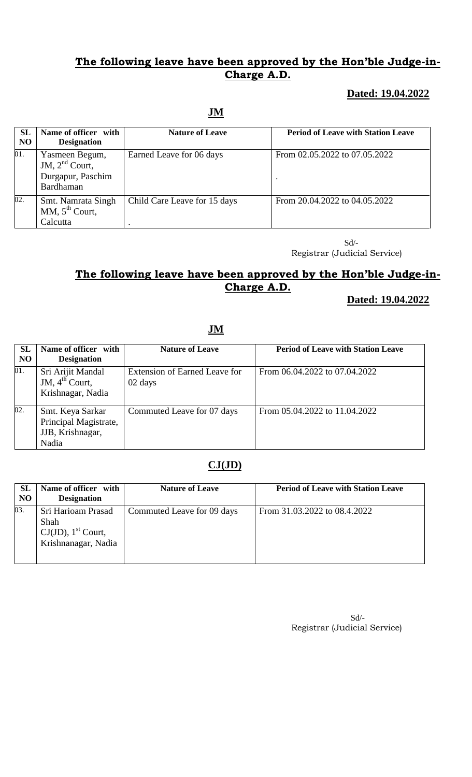### **Dated: 19.04.2022**

#### **JM**

| <b>SL</b><br>N <sub>O</sub> | Name of officer with<br><b>Designation</b>                           | <b>Nature of Leave</b>       | <b>Period of Leave with Station Leave</b> |
|-----------------------------|----------------------------------------------------------------------|------------------------------|-------------------------------------------|
| 01.                         | Yasmeen Begum,<br>JM, $2nd$ Court,<br>Durgapur, Paschim<br>Bardhaman | Earned Leave for 06 days     | From 02.05.2022 to 07.05.2022             |
| 02.                         | Smt. Namrata Singh<br>MM, $5^{th}$ Court,<br>Calcutta                | Child Care Leave for 15 days | From 20.04.2022 to 04.05.2022             |

 Sd/- Registrar (Judicial Service)

## **The following leave have been approved by the Hon'ble Judge-in-Charge A.D.**

### **Dated: 19.04.2022**

### **JM**

| <b>SL</b><br>N <sub>O</sub> | Name of officer with<br><b>Designation</b>                             | <b>Nature of Leave</b>                          | <b>Period of Leave with Station Leave</b> |
|-----------------------------|------------------------------------------------------------------------|-------------------------------------------------|-------------------------------------------|
| 01.                         | Sri Arijit Mandal<br>JM, $4^{th}$ Court,<br>Krishnagar, Nadia          | <b>Extension of Earned Leave for</b><br>02 days | From 06.04.2022 to 07.04.2022             |
| 02.                         | Smt. Keya Sarkar<br>Principal Magistrate,<br>JJB, Krishnagar,<br>Nadia | Commuted Leave for 07 days                      | From 05.04.2022 to 11.04.2022             |

### **CJ(JD)**

| <b>SL</b><br>N <sub>O</sub> | Name of officer with<br><b>Designation</b>                                             | <b>Nature of Leave</b>     | <b>Period of Leave with Station Leave</b> |
|-----------------------------|----------------------------------------------------------------------------------------|----------------------------|-------------------------------------------|
| 03.                         | Sri Harioam Prasad<br>Shah<br>$CJ(JD)$ , 1 <sup>st</sup> Court,<br>Krishnanagar, Nadia | Commuted Leave for 09 days | From 31.03.2022 to 08.4.2022              |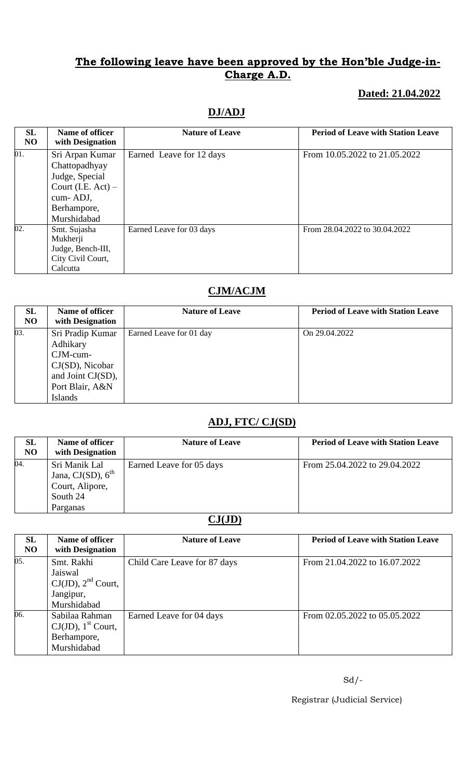### **Dated: 21.04.2022**

### **DJ/ADJ**

| SL<br>NO | Name of officer<br>with Designation                                                                                   | <b>Nature of Leave</b>   | <b>Period of Leave with Station Leave</b> |
|----------|-----------------------------------------------------------------------------------------------------------------------|--------------------------|-------------------------------------------|
| 01.      | Sri Arpan Kumar<br>Chattopadhyay<br>Judge, Special<br>Court (I.E. $Act$ ) –<br>cum-ADJ,<br>Berhampore,<br>Murshidabad | Earned Leave for 12 days | From 10.05.2022 to 21.05.2022             |
| 02.      | Smt. Sujasha<br>Mukherji<br>Judge, Bench-III,<br>City Civil Court,<br>Calcutta                                        | Earned Leave for 03 days | From 28.04.2022 to 30.04.2022             |

### **CJM/ACJM**

| SL<br>N <sub>O</sub> | Name of officer<br>with Designation                                                                                      | <b>Nature of Leave</b>  | <b>Period of Leave with Station Leave</b> |
|----------------------|--------------------------------------------------------------------------------------------------------------------------|-------------------------|-------------------------------------------|
| 03.                  | Sri Pradip Kumar<br>Adhikary<br>$CJM$ -cum-<br>CJ(SD), Nicobar<br>and Joint CJ(SD),<br>Port Blair, A&N<br><b>Islands</b> | Earned Leave for 01 day | On 29.04.2022                             |

### **ADJ, FTC/ CJ(SD)**

| SL<br>N <sub>O</sub> | Name of officer<br>with Designation                                                 | <b>Nature of Leave</b>   | <b>Period of Leave with Station Leave</b> |
|----------------------|-------------------------------------------------------------------------------------|--------------------------|-------------------------------------------|
| 04.                  | Sri Manik Lal<br>Jana, CJ $(SD)$ , $6th$<br>Court, Alipore,<br>South 24<br>Parganas | Earned Leave for 05 days | From 25.04.2022 to 29.04.2022             |

# **CJ(JD)**

| <b>SL</b><br>N <sub>O</sub> | Name of officer<br>with Designation                                               | <b>Nature of Leave</b>       | <b>Period of Leave with Station Leave</b> |
|-----------------------------|-----------------------------------------------------------------------------------|------------------------------|-------------------------------------------|
| 05.                         | Smt. Rakhi<br>Jaiswal<br>$CJ(JD)$ , $2nd$ Court,<br>Jangipur,<br>Murshidabad      | Child Care Leave for 87 days | From 21.04.2022 to 16.07.2022             |
| 06.                         | Sabilaa Rahman<br>$CJ(JD)$ , 1 <sup>st</sup> Court,<br>Berhampore,<br>Murshidabad | Earned Leave for 04 days     | From 02.05.2022 to 05.05.2022             |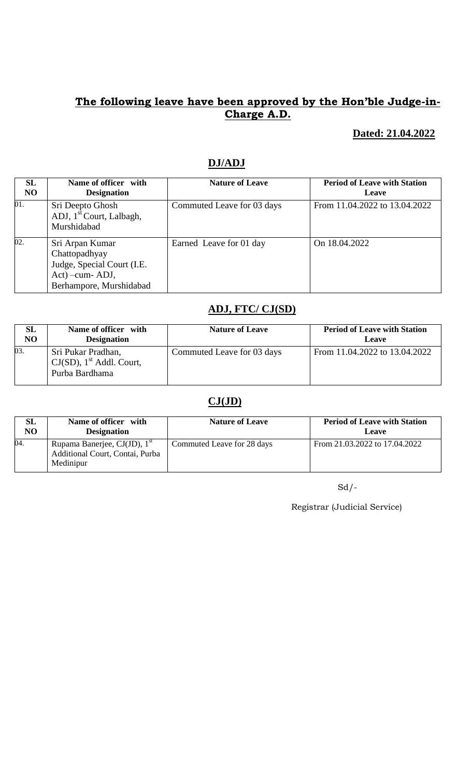### **Dated: 21.04.2022**

| SL             | Name of officer with                 | <b>Nature of Leave</b>     | <b>Period of Leave with Station</b> |
|----------------|--------------------------------------|----------------------------|-------------------------------------|
| N <sub>O</sub> | <b>Designation</b>                   |                            | Leave                               |
| 01.            | Sri Deepto Ghosh                     | Commuted Leave for 03 days | From 11.04.2022 to 13.04.2022       |
|                | ADJ, 1 <sup>st</sup> Court, Lalbagh, |                            |                                     |
|                | Murshidabad                          |                            |                                     |
| 02.            | Sri Arpan Kumar                      | Earned Leave for 01 day    | On 18.04.2022                       |
|                | Chattopadhyay                        |                            |                                     |
|                | Judge, Special Court (I.E.           |                            |                                     |
|                | Act) - cum - ADJ,                    |                            |                                     |
|                | Berhampore, Murshidabad              |                            |                                     |

# **DJ/ADJ**

# **ADJ, FTC/ CJ(SD)**

| <b>SL</b> | Name of officer with                                                            | <b>Nature of Leave</b>     | <b>Period of Leave with Station</b> |
|-----------|---------------------------------------------------------------------------------|----------------------------|-------------------------------------|
| NO        | <b>Designation</b>                                                              |                            | Leave                               |
| 03.       | Sri Pukar Pradhan,<br>$CJ(SD)$ , 1 <sup>st</sup> Addl. Court,<br>Purba Bardhama | Commuted Leave for 03 days | From 11.04.2022 to 13.04.2022       |

### **CJ(JD)**

| <b>SL</b> | Name of officer with                                                                     | <b>Nature of Leave</b>     | <b>Period of Leave with Station</b> |
|-----------|------------------------------------------------------------------------------------------|----------------------------|-------------------------------------|
| NO        | <b>Designation</b>                                                                       |                            | Leave                               |
| 04.       | Rupama Banerjee, CJ(JD), 1 <sup>st</sup><br>Additional Court, Contai, Purba<br>Medinipur | Commuted Leave for 28 days | From 21.03.2022 to 17.04.2022       |

 $Sd/-\frac{1}{2}$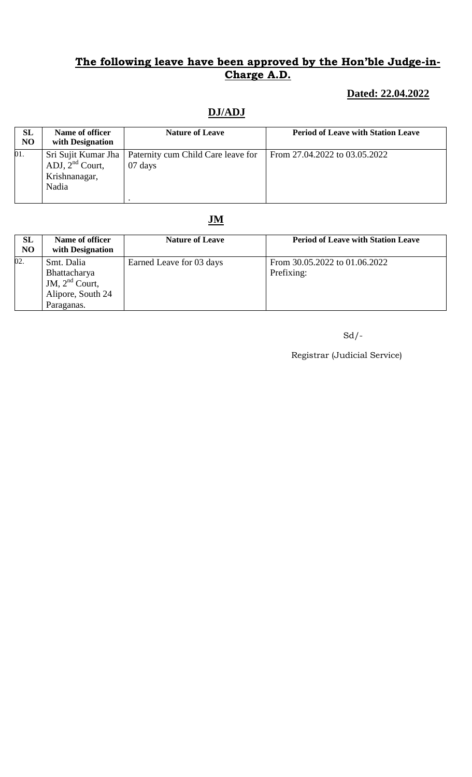## **Dated: 22.04.2022**

# **DJ/ADJ**

| <b>SL</b><br>N <sub>O</sub> | Name of officer<br>with Designation            | <b>Nature of Leave</b>                                              | <b>Period of Leave with Station Leave</b> |
|-----------------------------|------------------------------------------------|---------------------------------------------------------------------|-------------------------------------------|
| 01.                         | ADJ, $2^{nd}$ Court,<br>Krishnanagar,<br>Nadia | Sri Sujit Kumar Jha   Paternity cum Child Care leave for<br>07 days | From 27.04.2022 to 03.05.2022             |

# **JM**

| SL<br>N <sub>O</sub> | Name of officer<br>with Designation                                               | <b>Nature of Leave</b>   | <b>Period of Leave with Station Leave</b>   |
|----------------------|-----------------------------------------------------------------------------------|--------------------------|---------------------------------------------|
| 02.                  | Smt. Dalia<br>Bhattacharya<br>JM, $2nd$ Court,<br>Alipore, South 24<br>Paraganas. | Earned Leave for 03 days | From 30.05.2022 to 01.06.2022<br>Prefixing: |

Sd/-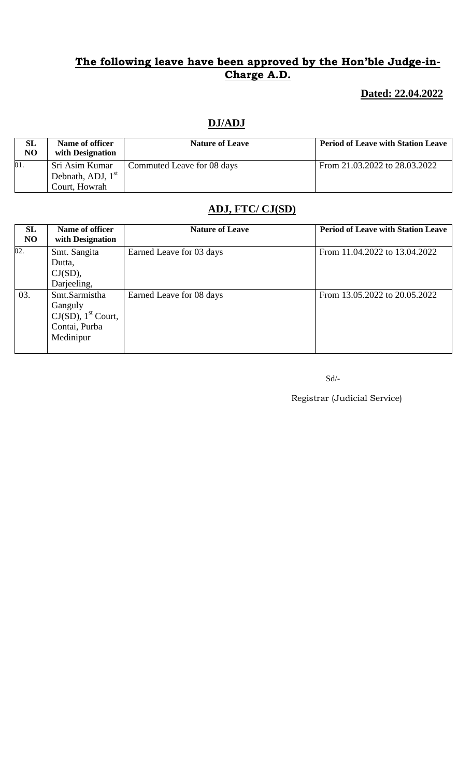## **Dated: 22.04.2022**

### **DJ/ADJ**

| <b>SL</b><br>NO | Name of officer<br>with Designation | <b>Nature of Leave</b>     | <b>Period of Leave with Station Leave</b> |
|-----------------|-------------------------------------|----------------------------|-------------------------------------------|
| 01.             | Sri Asim Kumar                      | Commuted Leave for 08 days | From 21.03.2022 to 28.03.2022             |
|                 | Debnath, ADJ, $1st$                 |                            |                                           |
|                 | Court, Howrah                       |                            |                                           |

# **ADJ, FTC/ CJ(SD)**

| <b>SL</b><br>N <sub>O</sub> | Name of officer<br>with Designation                                                         | <b>Nature of Leave</b>   | <b>Period of Leave with Station Leave</b> |
|-----------------------------|---------------------------------------------------------------------------------------------|--------------------------|-------------------------------------------|
| 02.                         | Smt. Sangita<br>Dutta,<br>CJ(SD),<br>Darjeeling,                                            | Earned Leave for 03 days | From 11.04.2022 to 13.04.2022             |
| 03.                         | Smt.Sarmistha<br>Ganguly<br>$CJ(SD)$ , 1 <sup>st</sup> Court,<br>Contai, Purba<br>Medinipur | Earned Leave for 08 days | From 13.05.2022 to 20.05.2022             |

Sd/-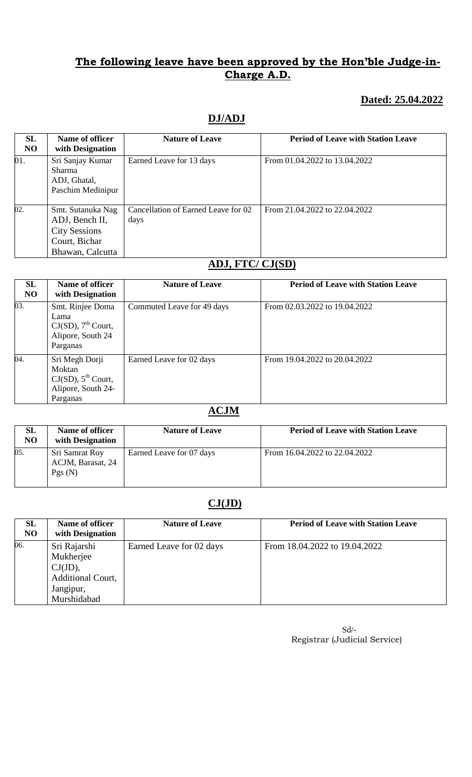### **Dated: 25.04.2022**

## **DJ/ADJ**

| SL<br>N <sub>O</sub> | Name of officer<br>with Designation                                                              | <b>Nature of Leave</b>                      | <b>Period of Leave with Station Leave</b> |
|----------------------|--------------------------------------------------------------------------------------------------|---------------------------------------------|-------------------------------------------|
| 01.                  | Sri Sanjay Kumar<br><b>Sharma</b><br>ADJ, Ghatal,<br>Paschim Medinipur                           | Earned Leave for 13 days                    | From 01.04.2022 to 13.04.2022             |
| 02.                  | Smt. Sutanuka Nag<br>ADJ, Bench II,<br><b>City Sessions</b><br>Court, Bichar<br>Bhawan, Calcutta | Cancellation of Earned Leave for 02<br>days | From 21.04.2022 to 22.04.2022             |

#### **ADJ, FTC/ CJ(SD)**

| SL<br>N <sub>O</sub> | Name of officer<br>with Designation                                                   | <b>Nature of Leave</b>     | <b>Period of Leave with Station Leave</b> |
|----------------------|---------------------------------------------------------------------------------------|----------------------------|-------------------------------------------|
| 03.                  | Smt. Rinjee Doma<br>Lama<br>$CJ(SD)$ , $7th$ Court,<br>Alipore, South 24<br>Parganas  | Commuted Leave for 49 days | From 02.03.2022 to 19.04.2022             |
| $\overline{04}$ .    | Sri Megh Dorji<br>Moktan<br>$CJ(SD)$ , $5th$ Court,<br>Alipore, South 24-<br>Parganas | Earned Leave for 02 days   | From 19.04.2022 to 20.04.2022             |

#### **ACJM**

| SL<br>NO | Name of officer<br>with Designation           | <b>Nature of Leave</b>   | <b>Period of Leave with Station Leave</b> |
|----------|-----------------------------------------------|--------------------------|-------------------------------------------|
| 05.      | Sri Samrat Roy<br>ACJM, Barasat, 24<br>Pgs(N) | Earned Leave for 07 days | From 16.04.2022 to 22.04.2022             |

### **CJ(JD)**

| <b>SL</b><br>N <sub>O</sub> | Name of officer<br>with Designation | <b>Nature of Leave</b>   | <b>Period of Leave with Station Leave</b> |
|-----------------------------|-------------------------------------|--------------------------|-------------------------------------------|
| 06.                         | Sri Rajarshi                        | Earned Leave for 02 days | From 18.04.2022 to 19.04.2022             |
|                             | Mukherjee                           |                          |                                           |
|                             | CJ(JD),                             |                          |                                           |
|                             | Additional Court,                   |                          |                                           |
|                             | Jangipur,                           |                          |                                           |
|                             | Murshidabad                         |                          |                                           |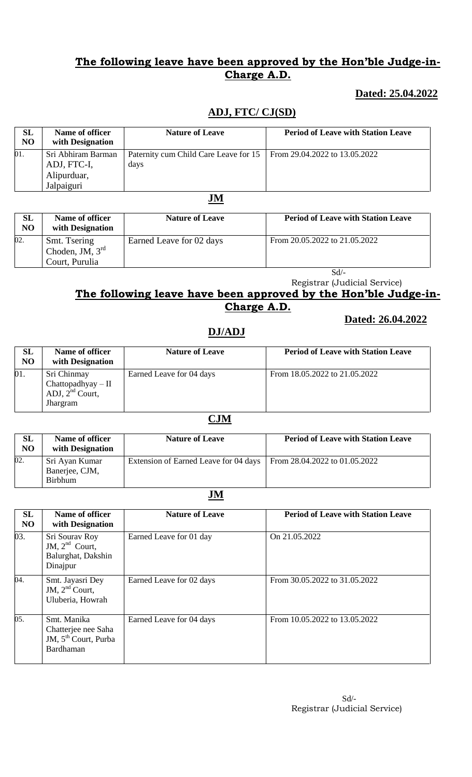### **Dated: 25.04.2022**

### **ADJ, FTC/ CJ(SD)**

| SL<br>N <sub>O</sub> | Name of officer<br>with Designation | <b>Nature of Leave</b>                                                        | <b>Period of Leave with Station Leave</b> |
|----------------------|-------------------------------------|-------------------------------------------------------------------------------|-------------------------------------------|
| 01.                  | Sri Abhiram Barman<br>ADJ, FTC-I,   | Paternity cum Child Care Leave for 15   From 29.04.2022 to 13.05.2022<br>days |                                           |
|                      | Alipurduar,<br>Jalpaiguri           |                                                                               |                                           |

**JM**

| SL<br>N <sub>O</sub> | Name of officer<br>with Designation                 | <b>Nature of Leave</b>   | <b>Period of Leave with Station Leave</b> |
|----------------------|-----------------------------------------------------|--------------------------|-------------------------------------------|
| 02.                  | Smt. Tsering<br>Choden, JM, $3rd$<br>Court, Purulia | Earned Leave for 02 days | From 20.05.2022 to 21.05.2022             |
|                      |                                                     |                          | $\alpha$ 1/                               |

Sd/-

Registrar (Judicial Service)

#### **The following leave have been approved by the Hon'ble Judge-in-Charge A.D. Dated: 26.04.2022**

### **DJ/ADJ**

**SL NO Name of officer with Designation Nature of Leave Period of Leave with Station Leave** 01. Sri Chinmay Chattopadhyay – II ADJ,  $2<sup>nd</sup>$  Court, Jhargram Earned Leave for 04 days From 18.05.2022 to 21.05.2022

#### **CJM**

| <b>SL</b><br>N <sub>O</sub> | Name of officer<br>with Designation                | <b>Nature of Leave</b>                                                | <b>Period of Leave with Station Leave</b> |
|-----------------------------|----------------------------------------------------|-----------------------------------------------------------------------|-------------------------------------------|
| 02.                         | Sri Ayan Kumar<br>Banerjee, CJM,<br><b>Birbhum</b> | Extension of Earned Leave for 04 days   From 28.04.2022 to 01.05.2022 |                                           |

#### **JM**

| SL<br>N <sub>O</sub> | Name of officer<br>with Designation                                                 | <b>Nature of Leave</b>   | <b>Period of Leave with Station Leave</b> |
|----------------------|-------------------------------------------------------------------------------------|--------------------------|-------------------------------------------|
| 03.                  | Sri Sourav Roy<br>JM, $2nd$ Court,<br>Balurghat, Dakshin<br>Dinajpur                | Earned Leave for 01 day  | On 21.05.2022                             |
| 04.                  | Smt. Jayasri Dey<br>JM, $2nd$ Court,<br>Uluberia, Howrah                            | Earned Leave for 02 days | From 30.05.2022 to 31.05.2022             |
| 05.                  | Smt. Manika<br>Chatterjee nee Saha<br>JM, 5 <sup>th</sup> Court, Purba<br>Bardhaman | Earned Leave for 04 days | From 10.05.2022 to 13.05.2022             |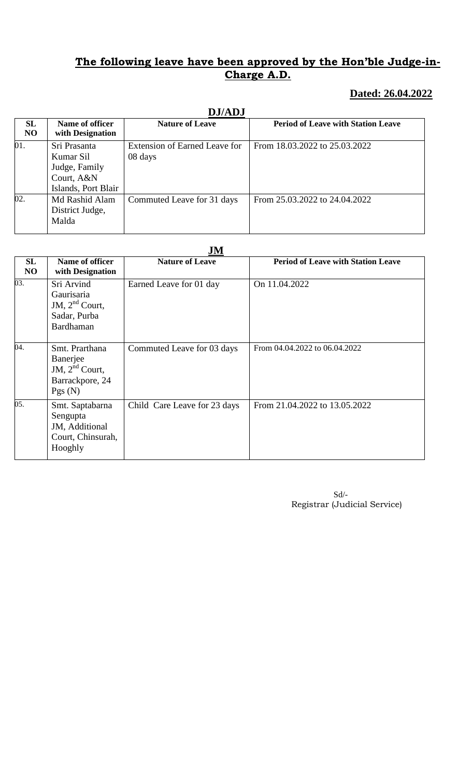## **Dated: 26.04.2022**

|                      | <b>DJ/ADJ</b>                                                                   |                                          |                                           |  |
|----------------------|---------------------------------------------------------------------------------|------------------------------------------|-------------------------------------------|--|
| SL<br>N <sub>O</sub> | Name of officer<br>with Designation                                             | <b>Nature of Leave</b>                   | <b>Period of Leave with Station Leave</b> |  |
| 01.                  | Sri Prasanta<br>Kumar Sil<br>Judge, Family<br>Court, A&N<br>Islands, Port Blair | Extension of Earned Leave for<br>08 days | From 18.03.2022 to 25.03.2022             |  |
| 02.                  | Md Rashid Alam<br>District Judge,<br>Malda                                      | Commuted Leave for 31 days               | From 25.03.2022 to 24.04.2022             |  |

#### **JM**

| <b>SL</b><br><b>NO</b> | Name of officer<br>with Designation                                            | <b>Nature of Leave</b>       | <b>Period of Leave with Station Leave</b> |
|------------------------|--------------------------------------------------------------------------------|------------------------------|-------------------------------------------|
| 03.                    | Sri Arvind<br>Gaurisaria<br>JM, $2nd$ Court,<br>Sadar, Purba<br>Bardhaman      | Earned Leave for 01 day      | On 11.04.2022                             |
| 04.                    | Smt. Prarthana<br>Banerjee<br>JM, $2^{nd}$ Court,<br>Barrackpore, 24<br>Pgs(N) | Commuted Leave for 03 days   | From 04.04.2022 to 06.04.2022             |
| 05.                    | Smt. Saptabarna<br>Sengupta<br>JM, Additional<br>Court, Chinsurah,<br>Hooghly  | Child Care Leave for 23 days | From 21.04.2022 to 13.05.2022             |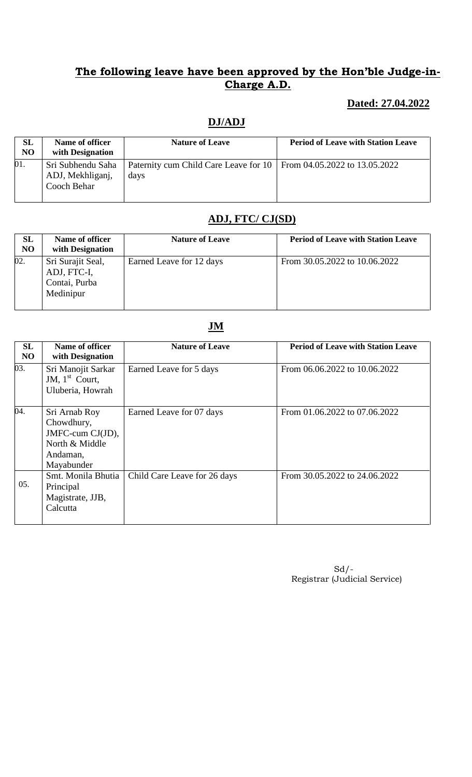## **Dated: 27.04.2022**

### **DJ/ADJ**

| <b>SL</b><br>N <sub>O</sub> | Name of officer<br>with Designation                  | <b>Nature of Leave</b>                                                        | <b>Period of Leave with Station Leave</b> |
|-----------------------------|------------------------------------------------------|-------------------------------------------------------------------------------|-------------------------------------------|
| 01.                         | Sri Subhendu Saha<br>ADJ, Mekhliganj,<br>Cooch Behar | Paternity cum Child Care Leave for 10   From 04.05.2022 to 13.05.2022<br>days |                                           |

# **ADJ, FTC/ CJ(SD)**

| SL<br>N <sub>O</sub> | Name of officer<br>with Designation                            | <b>Nature of Leave</b>   | <b>Period of Leave with Station Leave</b> |
|----------------------|----------------------------------------------------------------|--------------------------|-------------------------------------------|
| 02.                  | Sri Surajit Seal,<br>ADJ, FTC-I,<br>Contai, Purba<br>Medinipur | Earned Leave for 12 days | From 30.05.2022 to 10.06.2022             |

#### **JM**

| <b>SL</b><br>N <sub>O</sub> | Name of officer<br>with Designation                                                         | <b>Nature of Leave</b>       | <b>Period of Leave with Station Leave</b> |
|-----------------------------|---------------------------------------------------------------------------------------------|------------------------------|-------------------------------------------|
| 03.                         | Sri Manojit Sarkar<br>JM, $1st$ Court,<br>Uluberia, Howrah                                  | Earned Leave for 5 days      | From 06.06.2022 to 10.06.2022             |
| $\overline{04}$ .           | Sri Arnab Roy<br>Chowdhury,<br>JMFC-cum CJ(JD),<br>North & Middle<br>Andaman,<br>Mayabunder | Earned Leave for 07 days     | From 01.06.2022 to 07.06.2022             |
| 05.                         | Smt. Monila Bhutia<br>Principal<br>Magistrate, JJB,<br>Calcutta                             | Child Care Leave for 26 days | From 30.05.2022 to 24.06.2022             |